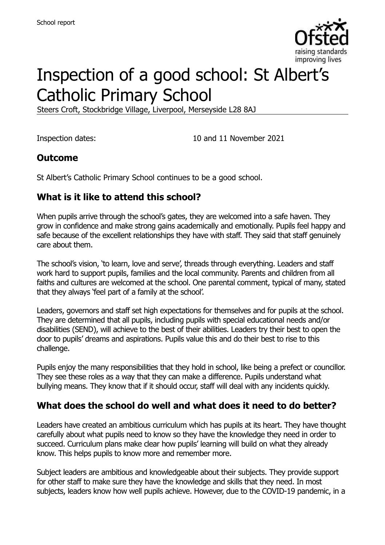

# Inspection of a good school: St Albert's Catholic Primary School

Steers Croft, Stockbridge Village, Liverpool, Merseyside L28 8AJ

Inspection dates: 10 and 11 November 2021

#### **Outcome**

St Albert's Catholic Primary School continues to be a good school.

# **What is it like to attend this school?**

When pupils arrive through the school's gates, they are welcomed into a safe haven. They grow in confidence and make strong gains academically and emotionally. Pupils feel happy and safe because of the excellent relationships they have with staff. They said that staff genuinely care about them.

The school's vision, 'to learn, love and serve', threads through everything. Leaders and staff work hard to support pupils, families and the local community. Parents and children from all faiths and cultures are welcomed at the school. One parental comment, typical of many, stated that they always 'feel part of a family at the school'.

Leaders, governors and staff set high expectations for themselves and for pupils at the school. They are determined that all pupils, including pupils with special educational needs and/or disabilities (SEND), will achieve to the best of their abilities. Leaders try their best to open the door to pupils' dreams and aspirations. Pupils value this and do their best to rise to this challenge.

Pupils enjoy the many responsibilities that they hold in school, like being a prefect or councillor. They see these roles as a way that they can make a difference. Pupils understand what bullying means. They know that if it should occur, staff will deal with any incidents quickly.

# **What does the school do well and what does it need to do better?**

Leaders have created an ambitious curriculum which has pupils at its heart. They have thought carefully about what pupils need to know so they have the knowledge they need in order to succeed. Curriculum plans make clear how pupils' learning will build on what they already know. This helps pupils to know more and remember more.

Subject leaders are ambitious and knowledgeable about their subjects. They provide support for other staff to make sure they have the knowledge and skills that they need. In most subjects, leaders know how well pupils achieve. However, due to the COVID-19 pandemic, in a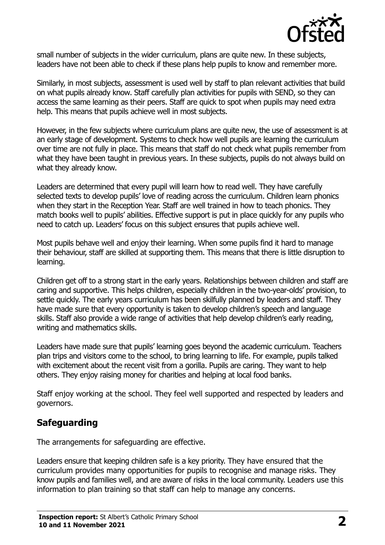

small number of subjects in the wider curriculum, plans are quite new. In these subjects, leaders have not been able to check if these plans help pupils to know and remember more.

Similarly, in most subjects, assessment is used well by staff to plan relevant activities that build on what pupils already know. Staff carefully plan activities for pupils with SEND, so they can access the same learning as their peers. Staff are quick to spot when pupils may need extra help. This means that pupils achieve well in most subjects.

However, in the few subjects where curriculum plans are quite new, the use of assessment is at an early stage of development. Systems to check how well pupils are learning the curriculum over time are not fully in place. This means that staff do not check what pupils remember from what they have been taught in previous years. In these subjects, pupils do not always build on what they already know.

Leaders are determined that every pupil will learn how to read well. They have carefully selected texts to develop pupils' love of reading across the curriculum. Children learn phonics when they start in the Reception Year. Staff are well trained in how to teach phonics. They match books well to pupils' abilities. Effective support is put in place quickly for any pupils who need to catch up. Leaders' focus on this subject ensures that pupils achieve well.

Most pupils behave well and enjoy their learning. When some pupils find it hard to manage their behaviour, staff are skilled at supporting them. This means that there is little disruption to learning.

Children get off to a strong start in the early years. Relationships between children and staff are caring and supportive. This helps children, especially children in the two-year-olds' provision, to settle quickly. The early years curriculum has been skilfully planned by leaders and staff. They have made sure that every opportunity is taken to develop children's speech and language skills. Staff also provide a wide range of activities that help develop children's early reading, writing and mathematics skills.

Leaders have made sure that pupils' learning goes beyond the academic curriculum. Teachers plan trips and visitors come to the school, to bring learning to life. For example, pupils talked with excitement about the recent visit from a gorilla. Pupils are caring. They want to help others. They enjoy raising money for charities and helping at local food banks.

Staff enjoy working at the school. They feel well supported and respected by leaders and governors.

#### **Safeguarding**

The arrangements for safeguarding are effective.

Leaders ensure that keeping children safe is a key priority. They have ensured that the curriculum provides many opportunities for pupils to recognise and manage risks. They know pupils and families well, and are aware of risks in the local community. Leaders use this information to plan training so that staff can help to manage any concerns.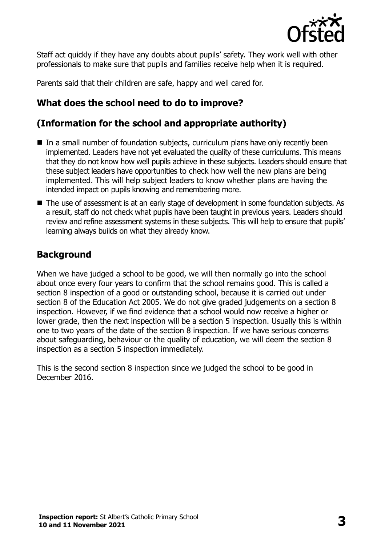

Staff act quickly if they have any doubts about pupils' safety. They work well with other professionals to make sure that pupils and families receive help when it is required.

Parents said that their children are safe, happy and well cared for.

# **What does the school need to do to improve?**

### **(Information for the school and appropriate authority)**

- In a small number of foundation subjects, curriculum plans have only recently been implemented. Leaders have not yet evaluated the quality of these curriculums. This means that they do not know how well pupils achieve in these subjects. Leaders should ensure that these subject leaders have opportunities to check how well the new plans are being implemented. This will help subject leaders to know whether plans are having the intended impact on pupils knowing and remembering more.
- The use of assessment is at an early stage of development in some foundation subjects. As a result, staff do not check what pupils have been taught in previous years. Leaders should review and refine assessment systems in these subjects. This will help to ensure that pupils' learning always builds on what they already know.

#### **Background**

When we have judged a school to be good, we will then normally go into the school about once every four years to confirm that the school remains good. This is called a section 8 inspection of a good or outstanding school, because it is carried out under section 8 of the Education Act 2005. We do not give graded judgements on a section 8 inspection. However, if we find evidence that a school would now receive a higher or lower grade, then the next inspection will be a section 5 inspection. Usually this is within one to two years of the date of the section 8 inspection. If we have serious concerns about safeguarding, behaviour or the quality of education, we will deem the section 8 inspection as a section 5 inspection immediately.

This is the second section 8 inspection since we judged the school to be good in December 2016.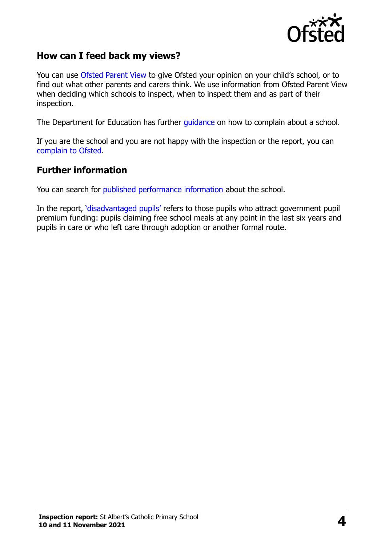

#### **How can I feed back my views?**

You can use [Ofsted Parent View](https://parentview.ofsted.gov.uk/) to give Ofsted your opinion on your child's school, or to find out what other parents and carers think. We use information from Ofsted Parent View when deciding which schools to inspect, when to inspect them and as part of their inspection.

The Department for Education has further [guidance](http://www.gov.uk/complain-about-school) on how to complain about a school.

If you are the school and you are not happy with the inspection or the report, you can [complain to Ofsted.](https://www.gov.uk/complain-ofsted-report)

#### **Further information**

You can search for [published performance information](http://www.compare-school-performance.service.gov.uk/) about the school.

In the report, '[disadvantaged pupils](http://www.gov.uk/guidance/pupil-premium-information-for-schools-and-alternative-provision-settings)' refers to those pupils who attract government pupil premium funding: pupils claiming free school meals at any point in the last six years and pupils in care or who left care through adoption or another formal route.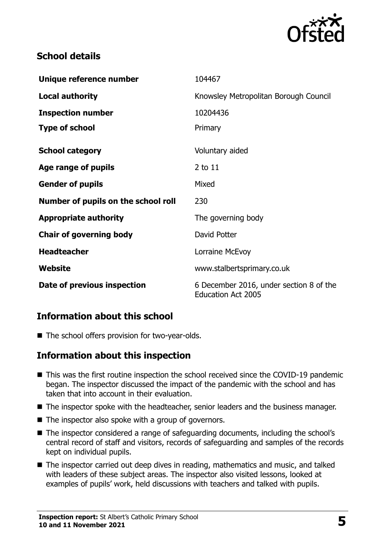

# **School details**

| Unique reference number             | 104467                                                               |
|-------------------------------------|----------------------------------------------------------------------|
| <b>Local authority</b>              | Knowsley Metropolitan Borough Council                                |
| <b>Inspection number</b>            | 10204436                                                             |
| <b>Type of school</b>               | Primary                                                              |
| <b>School category</b>              | Voluntary aided                                                      |
| Age range of pupils                 | 2 to 11                                                              |
| <b>Gender of pupils</b>             | Mixed                                                                |
| Number of pupils on the school roll | 230                                                                  |
| <b>Appropriate authority</b>        | The governing body                                                   |
| <b>Chair of governing body</b>      | David Potter                                                         |
| <b>Headteacher</b>                  | Lorraine McEvoy                                                      |
| Website                             | www.stalbertsprimary.co.uk                                           |
| Date of previous inspection         | 6 December 2016, under section 8 of the<br><b>Education Act 2005</b> |

# **Information about this school**

■ The school offers provision for two-year-olds.

#### **Information about this inspection**

- This was the first routine inspection the school received since the COVID-19 pandemic began. The inspector discussed the impact of the pandemic with the school and has taken that into account in their evaluation.
- The inspector spoke with the headteacher, senior leaders and the business manager.
- $\blacksquare$  The inspector also spoke with a group of governors.
- The inspector considered a range of safeguarding documents, including the school's central record of staff and visitors, records of safeguarding and samples of the records kept on individual pupils.
- The inspector carried out deep dives in reading, mathematics and music, and talked with leaders of these subject areas. The inspector also visited lessons, looked at examples of pupils' work, held discussions with teachers and talked with pupils.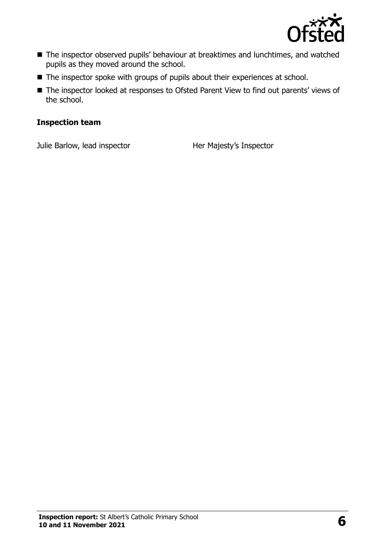

- The inspector observed pupils' behaviour at breaktimes and lunchtimes, and watched pupils as they moved around the school.
- The inspector spoke with groups of pupils about their experiences at school.
- The inspector looked at responses to Ofsted Parent View to find out parents' views of the school.

#### **Inspection team**

Julie Barlow, lead inspector **Her Majesty's Inspector**